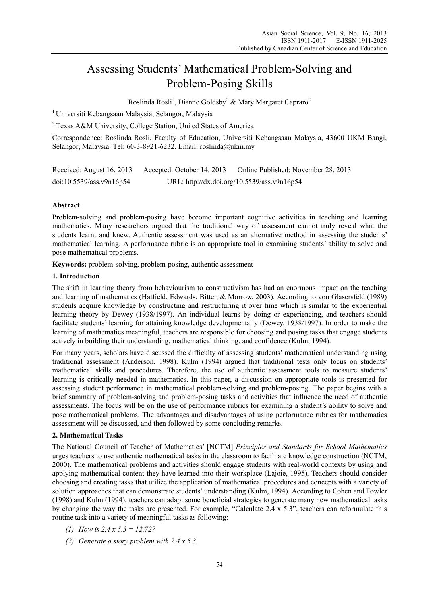# Assessing Students' Mathematical Problem-Solving and Problem-Posing Skills

Roslinda Rosli<sup>1</sup>, Dianne Goldsby<sup>2</sup> & Mary Margaret Capraro<sup>2</sup>

1 Universiti Kebangsaan Malaysia, Selangor, Malaysia

2 Texas A&M University, College Station, United States of America

Correspondence: Roslinda Rosli, Faculty of Education, Universiti Kebangsaan Malaysia, 43600 UKM Bangi, Selangor, Malaysia. Tel: 60-3-8921-6232. Email: roslinda@ukm.my

| Received: August 16, 2013 | Accepted: October 14, 2013 | Online Published: November 28, 2013         |
|---------------------------|----------------------------|---------------------------------------------|
| doi:10.5539/ass.v9n16p54  |                            | URL: http://dx.doi.org/10.5539/ass.v9n16p54 |

# **Abstract**

Problem-solving and problem-posing have become important cognitive activities in teaching and learning mathematics. Many researchers argued that the traditional way of assessment cannot truly reveal what the students learnt and knew. Authentic assessment was used as an alternative method in assessing the students' mathematical learning. A performance rubric is an appropriate tool in examining students' ability to solve and pose mathematical problems.

**Keywords:** problem-solving, problem-posing, authentic assessment

# **1. Introduction**

The shift in learning theory from behaviourism to constructivism has had an enormous impact on the teaching and learning of mathematics (Hatfield, Edwards, Bitter, & Morrow, 2003). According to von Glasersfeld (1989) students acquire knowledge by constructing and restructuring it over time which is similar to the experiential learning theory by Dewey (1938/1997). An individual learns by doing or experiencing, and teachers should facilitate students' learning for attaining knowledge developmentally (Dewey, 1938/1997). In order to make the learning of mathematics meaningful, teachers are responsible for choosing and posing tasks that engage students actively in building their understanding, mathematical thinking, and confidence (Kulm, 1994).

For many years, scholars have discussed the difficulty of assessing students' mathematical understanding using traditional assessment (Anderson, 1998). Kulm (1994) argued that traditional tests only focus on students' mathematical skills and procedures. Therefore, the use of authentic assessment tools to measure students' learning is critically needed in mathematics. In this paper, a discussion on appropriate tools is presented for assessing student performance in mathematical problem-solving and problem-posing. The paper begins with a brief summary of problem-solving and problem-posing tasks and activities that influence the need of authentic assessments. The focus will be on the use of performance rubrics for examining a student's ability to solve and pose mathematical problems. The advantages and disadvantages of using performance rubrics for mathematics assessment will be discussed, and then followed by some concluding remarks.

## **2. Mathematical Tasks**

The National Council of Teacher of Mathematics' [NCTM] *Principles and Standards for School Mathematics*  urges teachers to use authentic mathematical tasks in the classroom to facilitate knowledge construction (NCTM, 2000). The mathematical problems and activities should engage students with real-world contexts by using and applying mathematical content they have learned into their workplace (Lajoie, 1995). Teachers should consider choosing and creating tasks that utilize the application of mathematical procedures and concepts with a variety of solution approaches that can demonstrate students' understanding (Kulm, 1994). According to Cohen and Fowler (1998) and Kulm (1994), teachers can adapt some beneficial strategies to generate many new mathematical tasks by changing the way the tasks are presented. For example, "Calculate 2.4 x 5.3", teachers can reformulate this routine task into a variety of meaningful tasks as following:

- *(1) How is 2.4 x 5.3 = 12.72?*
- *(2) Generate a story problem with 2.4 x 5.3.*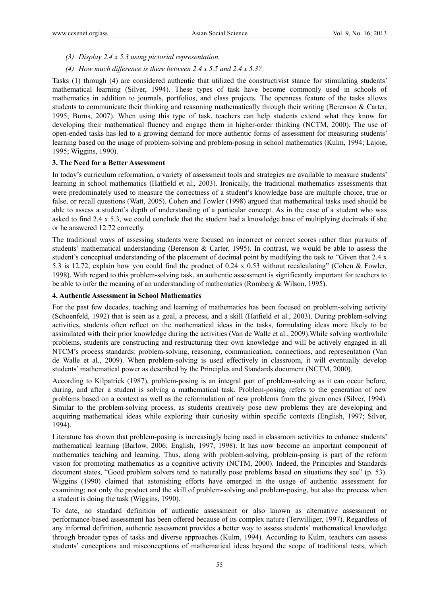- *(3) Display 2.4 x 5.3 using pictorial representation.*
- *(4) How much difference is there between 2.4 x 5.5 and 2.4 x 5.3?*

Tasks (1) through (4) are considered authentic that utilized the constructivist stance for stimulating students' mathematical learning (Silver, 1994). These types of task have become commonly used in schools of mathematics in addition to journals, portfolios, and class projects. The openness feature of the tasks allows students to communicate their thinking and reasoning mathematically through their writing (Berenson & Carter, 1995; Burns, 2007). When using this type of task, teachers can help students extend what they know for developing their mathematical fluency and engage them in higher-order thinking (NCTM, 2000). The use of open-ended tasks has led to a growing demand for more authentic forms of assessment for measuring students' learning based on the usage of problem-solving and problem-posing in school mathematics (Kulm, 1994; Lajoie, 1995; Wiggins, 1990).

# **3. The Need for a Better Assessment**

In today's curriculum reformation, a variety of assessment tools and strategies are available to measure students' learning in school mathematics (Hatfield et al., 2003). Ironically, the traditional mathematics assessments that were predominately used to measure the correctness of a student's knowledge base are multiple choice, true or false, or recall questions (Watt, 2005). Cohen and Fowler (1998) argued that mathematical tasks used should be able to assess a student's depth of understanding of a particular concept. As in the case of a student who was asked to find 2.4 x 5.3, we could conclude that the student had a knowledge base of multiplying decimals if she or he answered 12.72 correctly.

The traditional ways of assessing students were focused on incorrect or correct scores rather than pursuits of students' mathematical understanding (Berenson & Carter, 1995). In contrast, we would be able to assess the student's conceptual understanding of the placement of decimal point by modifying the task to "Given that 2.4 x 5.3 is 12.72, explain how you could find the product of 0.24 x 0.53 without recalculating" (Cohen & Fowler, 1998). With regard to this problem-solving task, an authentic assessment is significantly important for teachers to be able to infer the meaning of an understanding of mathematics (Romberg & Wilson, 1995).

# **4. Authentic Assessment in School Mathematics**

For the past few decades, teaching and learning of mathematics has been focused on problem-solving activity (Schoenfeld, 1992) that is seen as a goal, a process, and a skill (Hatfield et al., 2003). During problem-solving activities, students often reflect on the mathematical ideas in the tasks, formulating ideas more likely to be assimilated with their prior knowledge during the activities (Van de Walle et al., 2009).While solving worthwhile problems, students are constructing and restructuring their own knowledge and will be actively engaged in all NTCM's process standards: problem-solving, reasoning, communication, connections, and representation (Van de Walle et al., 2009). When problem-solving is used effectively in classroom, it will eventually develop students' mathematical power as described by the Principles and Standards document (NCTM, 2000).

According to Kilpatrick (1987), problem-posing is an integral part of problem-solving as it can occur before, during, and after a student is solving a mathematical task. Problem-posing refers to the generation of new problems based on a context as well as the reformulation of new problems from the given ones (Silver, 1994). Similar to the problem-solving process, as students creatively pose new problems they are developing and acquiring mathematical ideas while exploring their curiosity within specific contexts (English, 1997; Silver, 1994).

Literature has shown that problem-posing is increasingly being used in classroom activities to enhance students' mathematical learning (Barlow, 2006; English, 1997, 1998). It has now become an important component of mathematics teaching and learning. Thus, along with problem-solving, problem-posing is part of the reform vision for promoting mathematics as a cognitive activity (NCTM, 2000). Indeed, the Principles and Standards document states, "Good problem solvers tend to naturally pose problems based on situations they see" (p. 53). Wiggins (1990) claimed that astonishing efforts have emerged in the usage of authentic assessment for examining; not only the product and the skill of problem-solving and problem-posing, but also the process when a student is doing the task (Wiggins, 1990).

To date, no standard definition of authentic assessment or also known as alternative assessment or performance-based assessment has been offered because of its complex nature (Terwilliger, 1997). Regardless of any informal definition, authentic assessment provides a better way to assess students' mathematical knowledge through broader types of tasks and diverse approaches (Kulm, 1994). According to Kulm, teachers can assess students' conceptions and misconceptions of mathematical ideas beyond the scope of traditional tests, which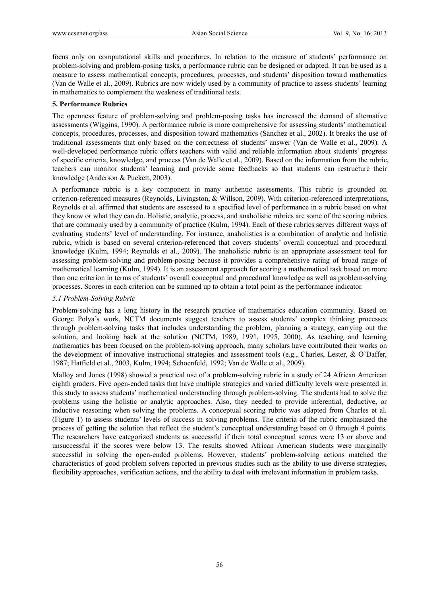focus only on computational skills and procedures. In relation to the measure of students' performance on problem-solving and problem-posing tasks, a performance rubric can be designed or adapted. It can be used as a measure to assess mathematical concepts, procedures, processes, and students' disposition toward mathematics (Van de Walle et al., 2009). Rubrics are now widely used by a community of practice to assess students' learning in mathematics to complement the weakness of traditional tests.

# **5. Performance Rubrics**

The openness feature of problem-solving and problem-posing tasks has increased the demand of alternative assessments (Wiggins, 1990). A performance rubric is more comprehensive for assessing students' mathematical concepts, procedures, processes, and disposition toward mathematics (Sanchez et al., 2002). It breaks the use of traditional assessments that only based on the correctness of students' answer (Van de Walle et al., 2009). A well-developed performance rubric offers teachers with valid and reliable information about students' progress of specific criteria, knowledge, and process (Van de Walle et al., 2009). Based on the information from the rubric, teachers can monitor students' learning and provide some feedbacks so that students can restructure their knowledge (Anderson & Puckett, 2003).

A performance rubric is a key component in many authentic assessments. This rubric is grounded on criterion-referenced measures (Reynolds, Livingston, & Willson, 2009). With criterion-referenced interpretations, Reynolds et al. affirmed that students are assessed to a specified level of performance in a rubric based on what they know or what they can do. Holistic, analytic, process, and anaholistic rubrics are some of the scoring rubrics that are commonly used by a community of practice (Kulm, 1994). Each of these rubrics serves different ways of evaluating students' level of understanding. For instance, anaholistics is a combination of analytic and holistic rubric, which is based on several criterion-referenced that covers students' overall conceptual and procedural knowledge (Kulm, 1994; Reynolds et al., 2009). The anaholistic rubric is an appropriate assessment tool for assessing problem-solving and problem-posing because it provides a comprehensive rating of broad range of mathematical learning (Kulm, 1994). It is an assessment approach for scoring a mathematical task based on more than one criterion in terms of students' overall conceptual and procedural knowledge as well as problem-solving processes. Scores in each criterion can be summed up to obtain a total point as the performance indicator.

## *5.1 Problem-Solving Rubric*

Problem-solving has a long history in the research practice of mathematics education community. Based on George Polya's work, NCTM documents suggest teachers to assess students' complex thinking processes through problem-solving tasks that includes understanding the problem, planning a strategy, carrying out the solution, and looking back at the solution (NCTM, 1989, 1991, 1995, 2000). As teaching and learning mathematics has been focused on the problem-solving approach, many scholars have contributed their works on the development of innovative instructional strategies and assessment tools (e.g., Charles, Lester, & O'Daffer, 1987; Hatfield et al., 2003, Kulm, 1994; Schoenfeld, 1992; Van de Walle et al., 2009).

Malloy and Jones (1998) showed a practical use of a problem-solving rubric in a study of 24 African American eighth graders. Five open-ended tasks that have multiple strategies and varied difficulty levels were presented in this study to assess students' mathematical understanding through problem-solving. The students had to solve the problems using the holistic or analytic approaches. Also, they needed to provide inferential, deductive, or inductive reasoning when solving the problems. A conceptual scoring rubric was adapted from Charles et al. (Figure 1) to assess students' levels of success in solving problems. The criteria of the rubric emphasized the process of getting the solution that reflect the student's conceptual understanding based on 0 through 4 points. The researchers have categorized students as successful if their total conceptual scores were 13 or above and unsuccessful if the scores were below 13. The results showed African American students were marginally successful in solving the open-ended problems. However, students' problem-solving actions matched the characteristics of good problem solvers reported in previous studies such as the ability to use diverse strategies, flexibility approaches, verification actions, and the ability to deal with irrelevant information in problem tasks.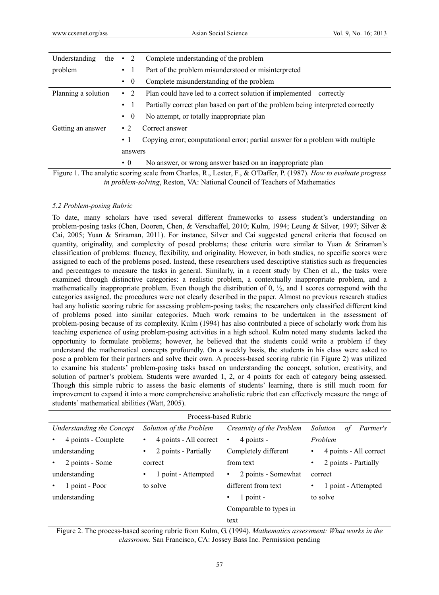| Understanding                                                                                                                         | the $\cdot$ 2               | Complete understanding of the problem                                           |  |
|---------------------------------------------------------------------------------------------------------------------------------------|-----------------------------|---------------------------------------------------------------------------------|--|
| problem                                                                                                                               | $\bullet$                   | Part of the problem misunderstood or misinterpreted                             |  |
|                                                                                                                                       | $\overline{0}$<br>$\bullet$ | Complete misunderstanding of the problem                                        |  |
| Planning a solution                                                                                                                   | $\cdot$ 2                   | Plan could have led to a correct solution if implemented<br>correctly           |  |
|                                                                                                                                       | $\bullet$                   | Partially correct plan based on part of the problem being interpreted correctly |  |
|                                                                                                                                       | $\bullet$ 0                 | No attempt, or totally inappropriate plan                                       |  |
| Getting an answer                                                                                                                     | $\cdot$ 2                   | Correct answer                                                                  |  |
|                                                                                                                                       | $\cdot$ 1                   | Copying error; computational error; partial answer for a problem with multiple  |  |
|                                                                                                                                       |                             | answers                                                                         |  |
|                                                                                                                                       | $\cdot$ 0                   | No answer, or wrong answer based on an inappropriate plan                       |  |
| $\Gamma$ and $\Gamma$ The enclude exclusive each from Charles D. Letter $\Gamma$ , $\theta$ , ODeffer D. (1007), Henric and integrate |                             |                                                                                 |  |

Figure 1. The analytic scoring scale from Charles, R., Lester, F., & O'Daffer, P. (1987). *How to evaluate progress in problem-solving*, Reston, VA: National Council of Teachers of Mathematics

## *5.2 Problem-posing Rubric*

To date, many scholars have used several different frameworks to assess student's understanding on problem-posing tasks (Chen, Dooren, Chen, & Verschaffel, 2010; Kulm, 1994; Leung & Silver, 1997; Silver & Cai, 2005; Yuan & Sriraman, 2011). For instance, Silver and Cai suggested general criteria that focused on quantity, originality, and complexity of posed problems; these criteria were similar to Yuan & Sriraman's classification of problems: fluency, flexibility, and originality. However, in both studies, no specific scores were assigned to each of the problems posed. Instead, these researchers used descriptive statistics such as frequencies and percentages to measure the tasks in general. Similarly, in a recent study by Chen et al., the tasks were examined through distinctive categories: a realistic problem, a contextually inappropriate problem, and a mathematically inappropriate problem. Even though the distribution of  $0, \frac{1}{2}$ , and 1 scores correspond with the categories assigned, the procedures were not clearly described in the paper. Almost no previous research studies had any holistic scoring rubric for assessing problem-posing tasks; the researchers only classified different kind of problems posed into similar categories. Much work remains to be undertaken in the assessment of problem-posing because of its complexity. Kulm (1994) has also contributed a piece of scholarly work from his teaching experience of using problem-posing activities in a high school. Kulm noted many students lacked the opportunity to formulate problems; however, he believed that the students could write a problem if they understand the mathematical concepts profoundly. On a weekly basis, the students in his class were asked to pose a problem for their partners and solve their own. A process-based scoring rubric (in Figure 2) was utilized to examine his students' problem-posing tasks based on understanding the concept, solution, creativity, and solution of partner's problem. Students were awarded 1, 2, or 4 points for each of category being assessed. Though this simple rubric to assess the basic elements of students' learning, there is still much room for improvement to expand it into a more comprehensive anaholistic rubric that can effectively measure the range of students' mathematical abilities (Watt, 2005).

| Process-based Rubric      |                         |                                  |                                   |  |
|---------------------------|-------------------------|----------------------------------|-----------------------------------|--|
| Understanding the Concept | Solution of the Problem | Creativity of the Problem        | Solution<br>Partner's<br>of       |  |
| 4 points - Complete       | 4 points - All correct  | 4 points -<br>$\bullet$          | Problem                           |  |
| understanding             | 2 points - Partially    | Completely different             | 4 points - All correct<br>٠       |  |
| 2 points - Some           | correct                 | from text                        | 2 points - Partially<br>$\bullet$ |  |
| understanding             | 1 point - Attempted     | 2 points - Somewhat<br>$\bullet$ | correct                           |  |
| 1 point - Poor            | to solve                | different from text              | 1 point - Attempted               |  |
| understanding             |                         | $1$ point -<br>٠                 | to solve                          |  |
|                           |                         | Comparable to types in           |                                   |  |
|                           |                         | text                             |                                   |  |

Figure 2. The process-based scoring rubric from Kulm, G. (1994). *Mathematics assessment: What works in the classroom*. San Francisco, CA: Jossey Bass Inc. Permission pending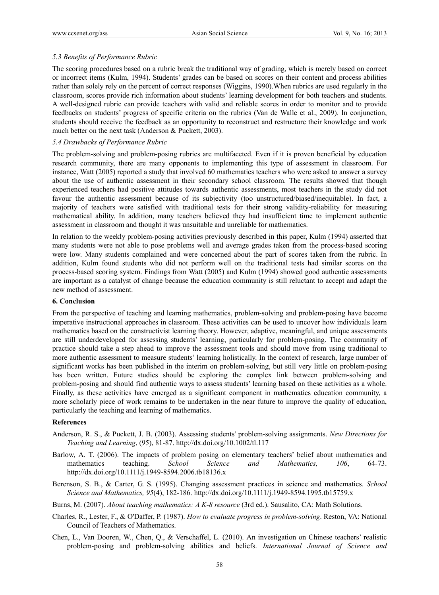#### *5.3 Benefits of Performance Rubric*

The scoring procedures based on a rubric break the traditional way of grading, which is merely based on correct or incorrect items (Kulm, 1994). Students' grades can be based on scores on their content and process abilities rather than solely rely on the percent of correct responses (Wiggins, 1990).When rubrics are used regularly in the classroom, scores provide rich information about students' learning development for both teachers and students. A well-designed rubric can provide teachers with valid and reliable scores in order to monitor and to provide feedbacks on students' progress of specific criteria on the rubrics (Van de Walle et al., 2009). In conjunction, students should receive the feedback as an opportunity to reconstruct and restructure their knowledge and work much better on the next task (Anderson & Puckett, 2003).

#### *5.4 Drawbacks of Performance Rubric*

The problem-solving and problem-posing rubrics are multifaceted. Even if it is proven beneficial by education research community, there are many opponents to implementing this type of assessment in classroom. For instance, Watt (2005) reported a study that involved 60 mathematics teachers who were asked to answer a survey about the use of authentic assessment in their secondary school classroom. The results showed that though experienced teachers had positive attitudes towards authentic assessments, most teachers in the study did not favour the authentic assessment because of its subjectivity (too unstructured/biased/inequitable). In fact, a majority of teachers were satisfied with traditional tests for their strong validity-reliability for measuring mathematical ability. In addition, many teachers believed they had insufficient time to implement authentic assessment in classroom and thought it was unsuitable and unreliable for mathematics.

In relation to the weekly problem-posing activities previously described in this paper, Kulm (1994) asserted that many students were not able to pose problems well and average grades taken from the process-based scoring were low. Many students complained and were concerned about the part of scores taken from the rubric. In addition, Kulm found students who did not perform well on the traditional tests had similar scores on the process-based scoring system. Findings from Watt (2005) and Kulm (1994) showed good authentic assessments are important as a catalyst of change because the education community is still reluctant to accept and adapt the new method of assessment.

#### **6. Conclusion**

From the perspective of teaching and learning mathematics, problem-solving and problem-posing have become imperative instructional approaches in classroom. These activities can be used to uncover how individuals learn mathematics based on the constructivist learning theory. However, adaptive, meaningful, and unique assessments are still underdeveloped for assessing students' learning, particularly for problem-posing. The community of practice should take a step ahead to improve the assessment tools and should move from using traditional to more authentic assessment to measure students' learning holistically. In the context of research, large number of significant works has been published in the interim on problem-solving, but still very little on problem-posing has been written. Future studies should be exploring the complex link between problem-solving and problem-posing and should find authentic ways to assess students' learning based on these activities as a whole. Finally, as these activities have emerged as a significant component in mathematics education community, a more scholarly piece of work remains to be undertaken in the near future to improve the quality of education, particularly the teaching and learning of mathematics.

## **References**

- Anderson, R. S., & Puckett, J. B. (2003). Assessing students' problem-solving assignments. *New Directions for Teaching and Learning*, (95), 81-87. http://dx.doi.org/10.1002/tl.117
- Barlow, A. T. (2006). The impacts of problem posing on elementary teachers' belief about mathematics and mathematics teaching. *School Science and Mathematics, 106*, 64-73. http://dx.doi.org/10.1111/j.1949-8594.2006.tb18136.x
- Berenson, S. B., & Carter, G. S. (1995). Changing assessment practices in science and mathematics. *School Science and Mathematics, 95*(4), 182-186. http://dx.doi.org/10.1111/j.1949-8594.1995.tb15759.x

Burns, M. (2007). *About teaching mathematics: A K-8 resource* (3rd ed.). Sausalito, CA: Math Solutions.

- Charles, R., Lester, F., & O'Daffer, P. (1987). *How to evaluate progress in problem-solving*. Reston, VA: National Council of Teachers of Mathematics.
- Chen, L., Van Dooren, W., Chen, Q., & Verschaffel, L. (2010). An investigation on Chinese teachers' realistic problem-posing and problem-solving abilities and beliefs. *International Journal of Science and*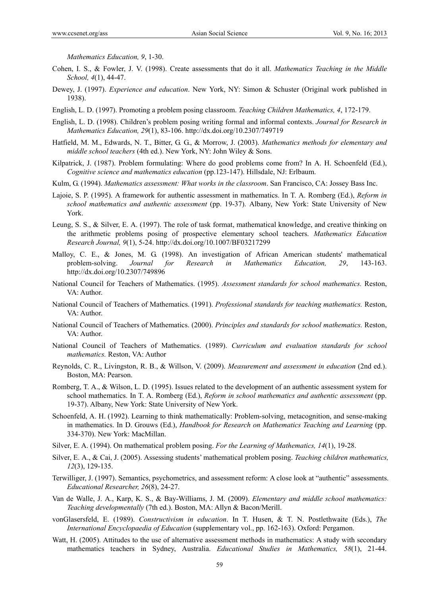*Mathematics Education, 9*, 1-30.

- Cohen, I. S., & Fowler, J. V. (1998). Create assessments that do it all. *Mathematics Teaching in the Middle School, 4*(1), 44-47.
- Dewey, J. (1997). *Experience and education*. New York, NY: Simon & Schuster (Original work published in 1938).
- English, L. D. (1997). Promoting a problem posing classroom. *Teaching Children Mathematics, 4*, 172-179.
- English, L. D. (1998). Children's problem posing writing formal and informal contexts. *Journal for Research in Mathematics Education, 29*(1), 83-106. http://dx.doi.org/10.2307/749719
- Hatfield, M. M., Edwards, N. T., Bitter, G. G., & Morrow, J. (2003). *Mathematics methods for elementary and middle school teachers* (4th ed.). New York, NY: John Wiley & Sons.
- Kilpatrick, J. (1987). Problem formulating: Where do good problems come from? In A. H. Schoenfeld (Ed.), *Cognitive science and mathematics education* (pp.123-147). Hillsdale, NJ: Erlbaum.
- Kulm, G. (1994). *Mathematics assessment: What works in the classroom*. San Francisco, CA: Jossey Bass Inc.
- Lajoie, S. P. (1995). A framework for authentic assessment in mathematics. In T. A. Romberg (Ed.), *Reform in school mathematics and authentic assessment* (pp. 19-37). Albany, New York: State University of New York.
- Leung, S. S., & Silver, E. A. (1997). The role of task format, mathematical knowledge, and creative thinking on the arithmetic problems posing of prospective elementary school teachers. *Mathematics Education Research Journal, 9*(1), 5-24. http://dx.doi.org/10.1007/BF03217299
- Malloy, C. E., & Jones, M. G. (1998). An investigation of African American students' mathematical problem-solving. *Journal for Research in Mathematics Education, 29*, 143-163. http://dx.doi.org/10.2307/749896
- National Council for Teachers of Mathematics. (1995). *Assessment standards for school mathematics.* Reston, VA: Author.
- National Council of Teachers of Mathematics. (1991). *Professional standards for teaching mathematics.* Reston, VA: Author.
- National Council of Teachers of Mathematics. (2000). *Principles and standards for school mathematics.* Reston, VA: Author.
- National Council of Teachers of Mathematics. (1989). *Curriculum and evaluation standards for school mathematics.* Reston, VA: Author
- Reynolds, C. R., Livingston, R. B., & Willson, V. (2009). *Measurement and assessment in education* (2nd ed.). Boston, MA: Pearson.
- Romberg, T. A., & Wilson, L. D. (1995). Issues related to the development of an authentic assessment system for school mathematics. In T. A. Romberg (Ed.), *Reform in school mathematics and authentic assessment* (pp. 19-37). Albany, New York: State University of New York.
- Schoenfeld, A. H. (1992). Learning to think mathematically: Problem-solving, metacognition, and sense-making in mathematics. In D. Grouws (Ed.), *Handbook for Research on Mathematics Teaching and Learning* (pp. 334-370). New York: MacMillan.
- Silver, E. A. (1994). On mathematical problem posing. *For the Learning of Mathematics, 14*(1), 19-28.
- Silver, E. A., & Cai, J. (2005). Assessing students' mathematical problem posing. *Teaching children mathematics, 12*(3), 129-135.
- Terwilliger, J. (1997). Semantics, psychometrics, and assessment reform: A close look at "authentic" assessments. *Educational Researcher, 26*(8), 24-27.
- Van de Walle, J. A., Karp, K. S., & Bay-Williams, J. M. (2009). *Elementary and middle school mathematics: Teaching developmentally* (7th ed.). Boston, MA: Allyn & Bacon/Merill.
- vonGlasersfeld, E. (1989). *Constructivism in education*. In T. Husen, & T. N. Postlethwaite (Eds.), *The International Encyclopaedia of Education* (supplementary vol., pp. 162-163). Oxford: Pergamon.
- Watt, H. (2005). Attitudes to the use of alternative assessment methods in mathematics: A study with secondary mathematics teachers in Sydney, Australia. *Educational Studies in Mathematics, 58*(1), 21-44.